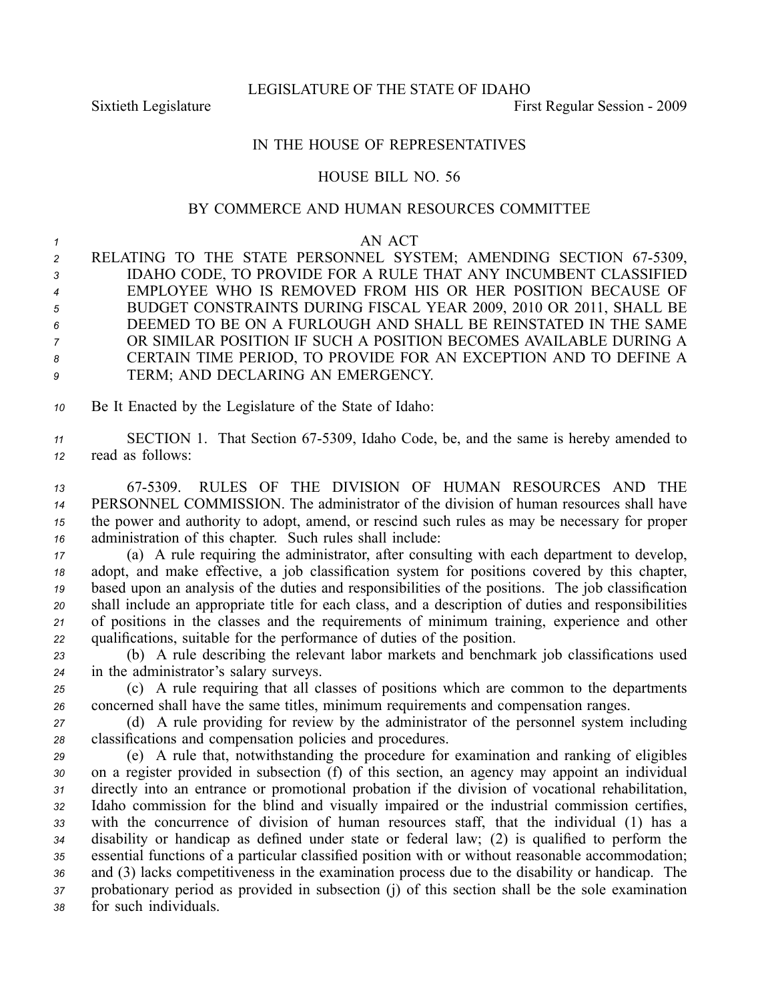LEGISLATURE OF THE STATE OF IDAHO

Sixtieth Legislature First Regular Session - 2009

## IN THE HOUSE OF REPRESENTATIVES

## HOUSE BILL NO. 56

## BY COMMERCE AND HUMAN RESOURCES COMMITTEE

## *<sup>1</sup>* AN ACT

2 RELATING TO THE STATE PERSONNEL SYSTEM; AMENDING SECTION 67-5309, IDAHO CODE, TO PROVIDE FOR A RULE THAT ANY INCUMBENT CLASSIFIED EMPLOYEE WHO IS REMOVED FROM HIS OR HER POSITION BECAUSE OF BUDGET CONSTRAINTS DURING FISCAL YEAR 2009, 2010 OR 2011, SHALL BE DEEMED TO BE ON A FURLOUGH AND SHALL BE REINSTATED IN THE SAME OR SIMILAR POSITION IF SUCH A POSITION BECOMES AVAILABLE DURING A CERTAIN TIME PERIOD, TO PROVIDE FOR AN EXCEPTION AND TO DEFINE A TERM; AND DECLARING AN EMERGENCY.

*<sup>10</sup>* Be It Enacted by the Legislature of the State of Idaho:

11 SECTION 1. That Section 67-5309, Idaho Code, be, and the same is hereby amended to *<sup>12</sup>* read as follows:

 675309. RULES OF THE DIVISION OF HUMAN RESOURCES AND THE PERSONNEL COMMISSION. The administrator of the division of human resources shall have the power and authority to adopt, amend, or rescind such rules as may be necessary for proper administration of this chapter. Such rules shall include:

 (a) A rule requiring the administrator, after consulting with each department to develop, adopt, and make effective, <sup>a</sup> job classification system for positions covered by this chapter, based upon an analysis of the duties and responsibilities of the positions. The job classification shall include an appropriate title for each class, and <sup>a</sup> description of duties and responsibilities of positions in the classes and the requirements of minimum training, experience and other qualifications, suitable for the performance of duties of the position.

*<sup>23</sup>* (b) A rule describing the relevant labor markets and benchmark job classifications used *<sup>24</sup>* in the administrator's salary surveys.

*<sup>25</sup>* (c) A rule requiring that all classes of positions which are common to the departments *<sup>26</sup>* concerned shall have the same titles, minimum requirements and compensation ranges.

*<sup>27</sup>* (d) A rule providing for review by the administrator of the personnel system including *<sup>28</sup>* classifications and compensation policies and procedures.

 (e) A rule that, notwithstanding the procedure for examination and ranking of eligibles on <sup>a</sup> register provided in subsection (f) of this section, an agency may appoint an individual directly into an entrance or promotional probation if the division of vocational rehabilitation, Idaho commission for the blind and visually impaired or the industrial commission certifies, with the concurrence of division of human resources staff, that the individual (1) has <sup>a</sup> disability or handicap as defined under state or federal law; (2) is qualified to perform the essential functions of <sup>a</sup> particular classified position with or without reasonable accommodation; and (3) lacks competitiveness in the examination process due to the disability or handicap. The probationary period as provided in subsection (j) of this section shall be the sole examination for such individuals.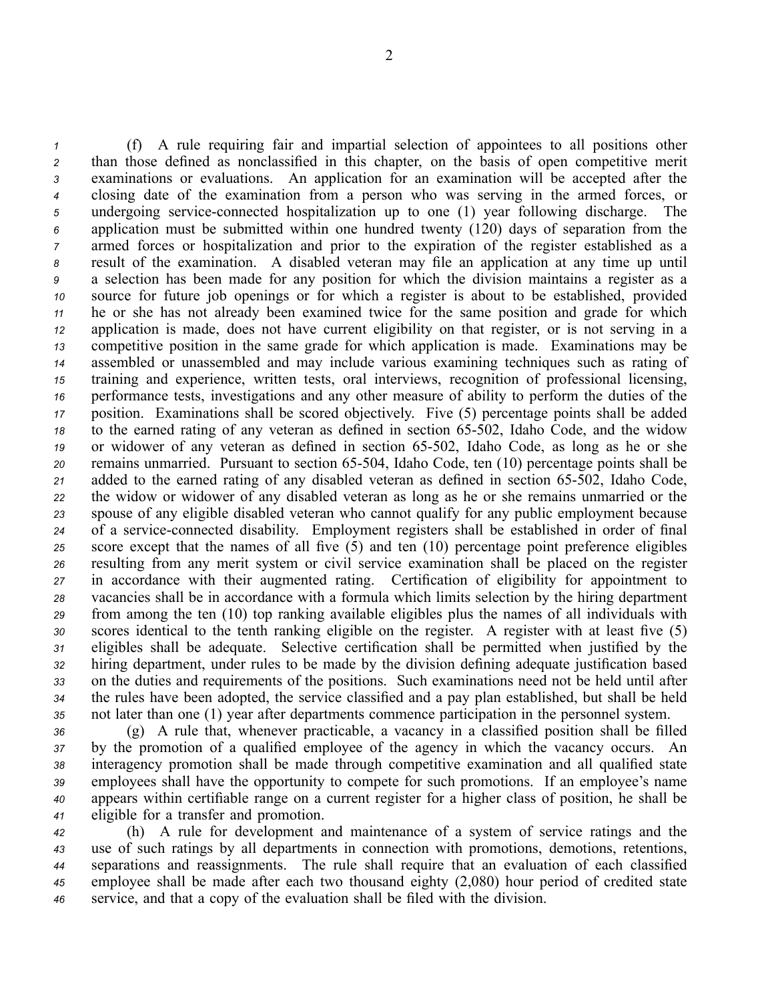(f) A rule requiring fair and impartial selection of appointees to all positions other than those defined as nonclassified in this chapter, on the basis of open competitive merit examinations or evaluations. An application for an examination will be accepted after the closing date of the examination from <sup>a</sup> person who was serving in the armed forces, or undergoing serviceconnected hospitalization up to one (1) year following discharge. The application must be submitted within one hundred twenty (120) days of separation from the armed forces or hospitalization and prior to the expiration of the register established as <sup>a</sup> result of the examination. A disabled veteran may file an application at any time up until <sup>a</sup> selection has been made for any position for which the division maintains <sup>a</sup> register as <sup>a</sup> source for future job openings or for which <sup>a</sup> register is about to be established, provided he or she has not already been examined twice for the same position and grade for which application is made, does not have current eligibility on that register, or is not serving in <sup>a</sup> competitive position in the same grade for which application is made. Examinations may be assembled or unassembled and may include various examining techniques such as rating of training and experience, written tests, oral interviews, recognition of professional licensing, performance tests, investigations and any other measure of ability to perform the duties of the position. Examinations shall be scored objectively. Five (5) percentage points shall be added 18 to the earned rating of any veteran as defined in section 65-502, Idaho Code, and the widow 19 or widower of any veteran as defined in section 65-502, Idaho Code, as long as he or she remains unmarried. Pursuant to section 65-504, Idaho Code, ten (10) percentage points shall be 21 added to the earned rating of any disabled veteran as defined in section 65-502, Idaho Code, the widow or widower of any disabled veteran as long as he or she remains unmarried or the spouse of any eligible disabled veteran who cannot qualify for any public employment because 24 of a service-connected disability. Employment registers shall be established in order of final score excep<sup>t</sup> that the names of all five (5) and ten (10) percentage point preference eligibles resulting from any merit system or civil service examination shall be placed on the register in accordance with their augmented rating. Certification of eligibility for appointment to vacancies shall be in accordance with <sup>a</sup> formula which limits selection by the hiring department from among the ten (10) top ranking available eligibles plus the names of all individuals with scores identical to the tenth ranking eligible on the register. A register with at least five (5) eligibles shall be adequate. Selective certification shall be permitted when justified by the hiring department, under rules to be made by the division defining adequate justification based on the duties and requirements of the positions. Such examinations need not be held until after the rules have been adopted, the service classified and <sup>a</sup> pay plan established, but shall be held not later than one (1) year after departments commence participation in the personnel system.

 (g) A rule that, whenever practicable, <sup>a</sup> vacancy in <sup>a</sup> classified position shall be filled by the promotion of <sup>a</sup> qualified employee of the agency in which the vacancy occurs. An interagency promotion shall be made through competitive examination and all qualified state employees shall have the opportunity to compete for such promotions. If an employee's name appears within certifiable range on <sup>a</sup> current register for <sup>a</sup> higher class of position, he shall be eligible for <sup>a</sup> transfer and promotion.

 (h) A rule for development and maintenance of <sup>a</sup> system of service ratings and the use of such ratings by all departments in connection with promotions, demotions, retentions, separations and reassignments. The rule shall require that an evaluation of each classified employee shall be made after each two thousand eighty (2,080) hour period of credited state service, and that <sup>a</sup> copy of the evaluation shall be filed with the division.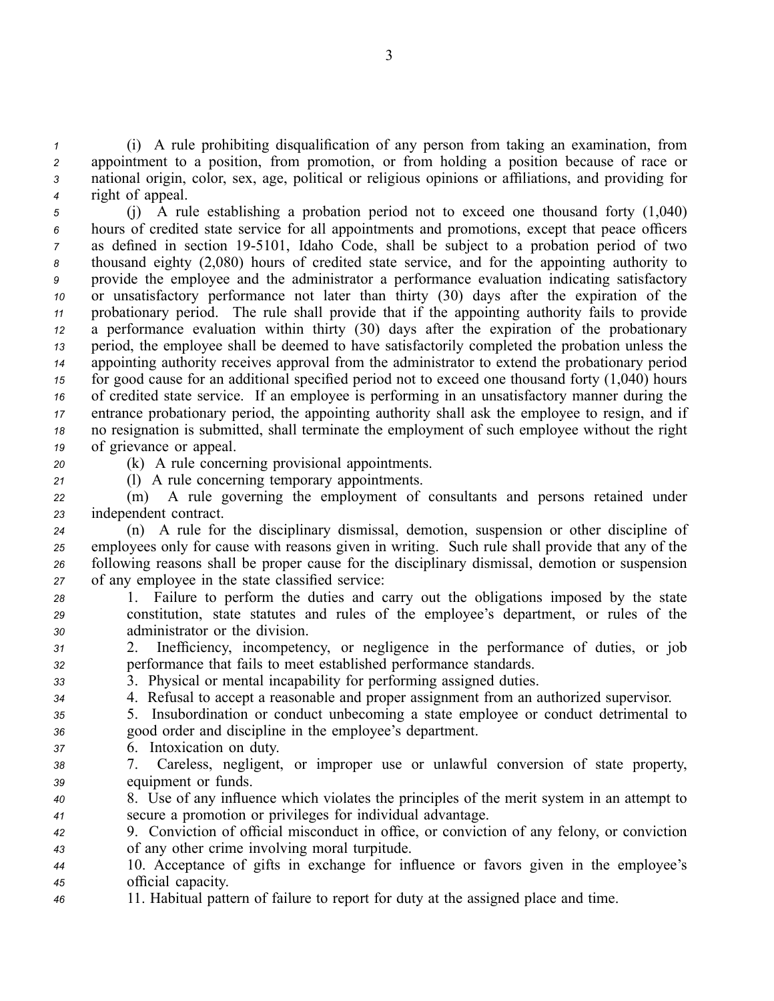(i) A rule prohibiting disqualification of any person from taking an examination, from appointment to <sup>a</sup> position, from promotion, or from holding <sup>a</sup> position because of race or national origin, color, sex, age, political or religious opinions or affiliations, and providing for right of appeal.

 (j) A rule establishing <sup>a</sup> probation period not to exceed one thousand forty (1,040) hours of credited state service for all appointments and promotions, excep<sup>t</sup> that peace officers as defined in section 195101, Idaho Code, shall be subject to <sup>a</sup> probation period of two thousand eighty (2,080) hours of credited state service, and for the appointing authority to provide the employee and the administrator <sup>a</sup> performance evaluation indicating satisfactory or unsatisfactory performance not later than thirty (30) days after the expiration of the probationary period. The rule shall provide that if the appointing authority fails to provide <sup>a</sup> performance evaluation within thirty (30) days after the expiration of the probationary period, the employee shall be deemed to have satisfactorily completed the probation unless the appointing authority receives approval from the administrator to extend the probationary period for good cause for an additional specified period not to exceed one thousand forty (1,040) hours of credited state service. If an employee is performing in an unsatisfactory manner during the entrance probationary period, the appointing authority shall ask the employee to resign, and if no resignation is submitted, shall terminate the employment of such employee without the right of grievance or appeal.

*<sup>20</sup>* (k) A rule concerning provisional appointments.

*<sup>21</sup>* (l) A rule concerning temporary appointments.

*<sup>22</sup>* (m) A rule governing the employment of consultants and persons retained under *<sup>23</sup>* independent contract.

 (n) A rule for the disciplinary dismissal, demotion, suspension or other discipline of employees only for cause with reasons given in writing. Such rule shall provide that any of the following reasons shall be proper cause for the disciplinary dismissal, demotion or suspension of any employee in the state classified service:

- *<sup>28</sup>* 1. Failure to perform the duties and carry out the obligations imposed by the state *<sup>29</sup>* constitution, state statutes and rules of the employee's department, or rules of the *<sup>30</sup>* administrator or the division.
- *<sup>31</sup>* 2. Inefficiency, incompetency, or negligence in the performance of duties, or job *<sup>32</sup>* performance that fails to meet established performance standards.
- *<sup>33</sup>* 3. Physical or mental incapability for performing assigned duties.
- *<sup>34</sup>* 4. Refusal to accep<sup>t</sup> <sup>a</sup> reasonable and proper assignment from an authorized supervisor.
- *<sup>35</sup>* 5. Insubordination or conduct unbecoming <sup>a</sup> state employee or conduct detrimental to *<sup>36</sup>* good order and discipline in the employee's department.
- *<sup>37</sup>* 6. Intoxication on duty.
- *<sup>38</sup>* 7. Careless, negligent, or improper use or unlawful conversion of state property, *<sup>39</sup>* equipment or funds.
- *<sup>40</sup>* 8. Use of any influence which violates the principles of the merit system in an attempt to *<sup>41</sup>* secure <sup>a</sup> promotion or privileges for individual advantage.
- *<sup>42</sup>* 9. Conviction of official misconduct in office, or conviction of any felony, or conviction *<sup>43</sup>* of any other crime involving moral turpitude.

*<sup>44</sup>* 10. Acceptance of gifts in exchange for influence or favors given in the employee's *<sup>45</sup>* official capacity.

*<sup>46</sup>* 11. Habitual pattern of failure to repor<sup>t</sup> for duty at the assigned place and time.